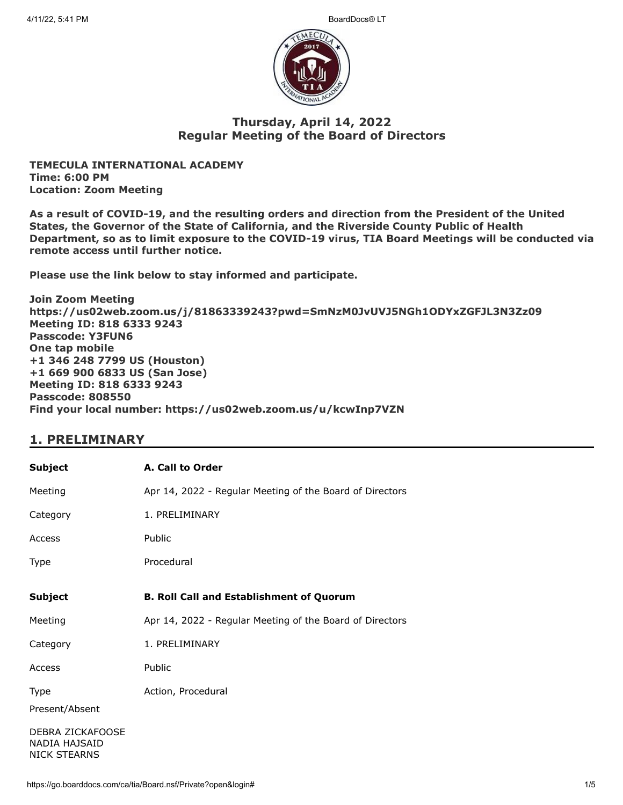

### **Thursday, April 14, 2022 Regular Meeting of the Board of Directors**

**TEMECULA INTERNATIONAL ACADEMY Time: 6:00 PM Location: Zoom Meeting**

**As a result of COVID-19, and the resulting orders and direction from the President of the United States, the Governor of the State of California, and the Riverside County Public of Health Department, so as to limit exposure to the COVID-19 virus, TIA Board Meetings will be conducted via remote access until further notice.**

**Please use the link below to stay informed and participate.** 

**Join Zoom Meeting https://us02web.zoom.us/j/81863339243?pwd=SmNzM0JvUVJ5NGh1ODYxZGFJL3N3Zz09 Meeting ID: 818 6333 9243 Passcode: Y3FUN6 One tap mobile +1 346 248 7799 US (Houston) +1 669 900 6833 US (San Jose) Meeting ID: 818 6333 9243 Passcode: 808550 Find your local number: https://us02web.zoom.us/u/kcwInp7VZN**

### **1. PRELIMINARY**

| <b>Subject</b>                                           | A. Call to Order                                         |
|----------------------------------------------------------|----------------------------------------------------------|
| Meeting                                                  | Apr 14, 2022 - Regular Meeting of the Board of Directors |
| Category                                                 | 1. PRELIMINARY                                           |
| Access                                                   | Public                                                   |
| Type                                                     | Procedural                                               |
| <b>Subject</b>                                           | <b>B. Roll Call and Establishment of Quorum</b>          |
| Meeting                                                  | Apr 14, 2022 - Regular Meeting of the Board of Directors |
| Category                                                 | 1. PRELIMINARY                                           |
| Access                                                   | Public                                                   |
| Type                                                     | Action, Procedural                                       |
| Present/Absent                                           |                                                          |
| DEBRA ZICKAFOOSE<br>NADIA HAJSAID<br><b>NICK STEARNS</b> |                                                          |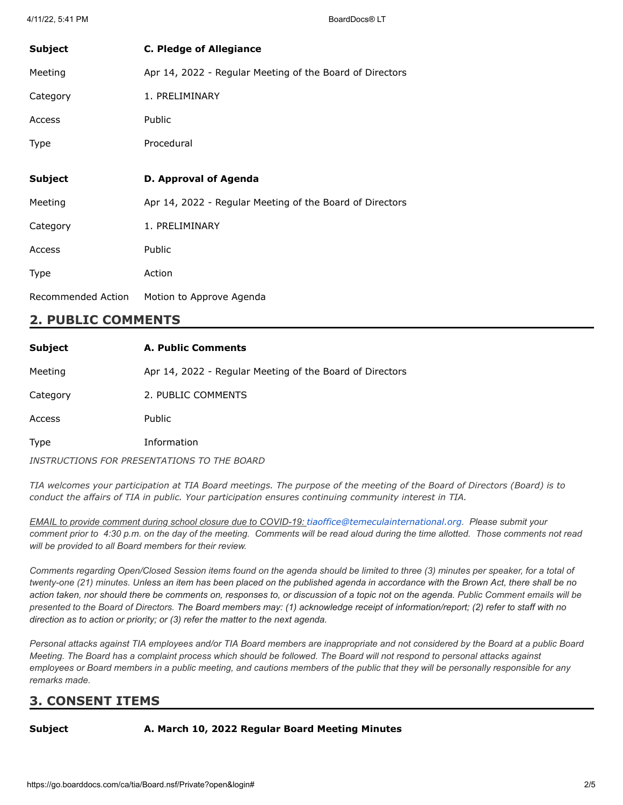| <b>Subject</b> | <b>C. Pledge of Allegiance</b>                           |
|----------------|----------------------------------------------------------|
| Meeting        | Apr 14, 2022 - Regular Meeting of the Board of Directors |
| Category       | 1. PRELIMINARY                                           |
| Access         | Public                                                   |
| <b>Type</b>    | Procedural                                               |
|                |                                                          |
| <b>Subject</b> | <b>D. Approval of Agenda</b>                             |
|                |                                                          |
| Meeting        | Apr 14, 2022 - Regular Meeting of the Board of Directors |
| Category       | 1. PRELIMINARY                                           |
| Access         | Public                                                   |
| Type           | Action                                                   |

### **2. PUBLIC COMMENTS**

| <b>Subject</b>                              | <b>A. Public Comments</b>                                |
|---------------------------------------------|----------------------------------------------------------|
| Meeting                                     | Apr 14, 2022 - Regular Meeting of the Board of Directors |
| Category                                    | 2. PUBLIC COMMENTS                                       |
| Access                                      | <b>Public</b>                                            |
| Type                                        | Information                                              |
| INSTRUCTIONS FOR PRESENTATIONS TO THE BOARD |                                                          |

TIA welcomes your participation at TIA Board meetings. The purpose of the meeting of the Board of Directors (Board) is to *conduct the affairs of TIA in public. Your participation ensures continuing community interest in TIA.*

*EMAIL to provide comment during school closure due to COVID-19: [tiaoffice@temeculainternational.org](mailto:tiaoffice@temeculainternational.org). Please submit your comment prior to 4:30 p.m. on the day of the meeting. Comments will be read aloud during the time allotted. Those comments not read will be provided to all Board members for their review.*

*Comments regarding Open/Closed Session items found on the agenda should be limited to three (3) minutes per speaker, for a total of twenty-one (21) minutes. Unless an item has been placed on the published agenda in accordance with the Brown Act, there shall be no action taken, nor should there be comments on, responses to, or discussion of a topic not on the agenda. Public Comment emails will be presented to the Board of Directors. The Board members may: (1) acknowledge receipt of information/report; (2) refer to staff with no direction as to action or priority; or (3) refer the matter to the next agenda.*

*Personal attacks against TIA employees and/or TIA Board members are inappropriate and not considered by the Board at a public Board Meeting. The Board has a complaint process which should be followed. The Board will not respond to personal attacks against employees or Board members in a public meeting, and cautions members of the public that they will be personally responsible for any remarks made.*

# **3. CONSENT ITEMS**

### **Subject A. March 10, 2022 Regular Board Meeting Minutes**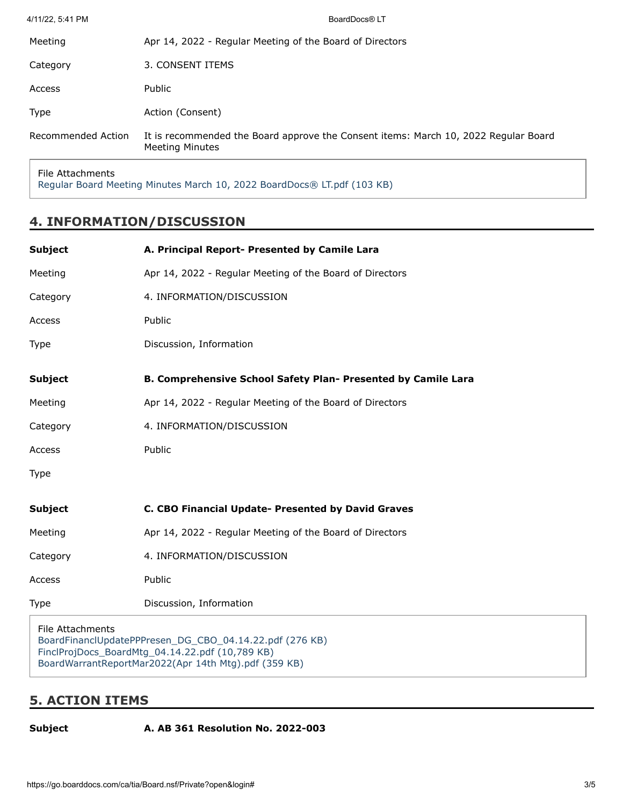| 4/11/22, 5:41 PM   | BoardDocs® LT                                                                                                 |
|--------------------|---------------------------------------------------------------------------------------------------------------|
| Meeting            | Apr 14, 2022 - Regular Meeting of the Board of Directors                                                      |
| Category           | 3. CONSENT ITEMS                                                                                              |
| Access             | Public                                                                                                        |
| <b>Type</b>        | Action (Consent)                                                                                              |
| Recommended Action | It is recommended the Board approve the Consent items: March 10, 2022 Regular Board<br><b>Meeting Minutes</b> |

File Attachments

[Regular Board Meeting Minutes March 10, 2022 BoardDocs® LT.pdf \(103 KB\)](https://go.boarddocs.com/ca/tia/Board.nsf/files/CDDNMR605648/$file/Regular%20Board%20Meeting%20Minutes%20March%2010%2C%202022%20BoardDocs%C2%AE%20LT.pdf)

## **4. INFORMATION/DISCUSSION**

| <b>Subject</b>                                                                                                                                                                         | A. Principal Report- Presented by Camile Lara                 |
|----------------------------------------------------------------------------------------------------------------------------------------------------------------------------------------|---------------------------------------------------------------|
| Meeting                                                                                                                                                                                | Apr 14, 2022 - Regular Meeting of the Board of Directors      |
| Category                                                                                                                                                                               | 4. INFORMATION/DISCUSSION                                     |
| Access                                                                                                                                                                                 | Public                                                        |
| Type                                                                                                                                                                                   | Discussion, Information                                       |
| <b>Subject</b>                                                                                                                                                                         | B. Comprehensive School Safety Plan- Presented by Camile Lara |
| Meeting                                                                                                                                                                                | Apr 14, 2022 - Regular Meeting of the Board of Directors      |
| Category                                                                                                                                                                               | 4. INFORMATION/DISCUSSION                                     |
| Access                                                                                                                                                                                 | Public                                                        |
| Type                                                                                                                                                                                   |                                                               |
| <b>Subject</b>                                                                                                                                                                         | C. CBO Financial Update- Presented by David Graves            |
| Meeting                                                                                                                                                                                | Apr 14, 2022 - Regular Meeting of the Board of Directors      |
| Category                                                                                                                                                                               | 4. INFORMATION/DISCUSSION                                     |
| Access                                                                                                                                                                                 | Public                                                        |
| Type                                                                                                                                                                                   | Discussion, Information                                       |
| File Attachments<br>BoardFinanclUpdatePPPresen_DG_CBO_04.14.22.pdf (276 KB)<br>FinclProjDocs_BoardMtg_04.14.22.pdf (10,789 KB)<br>BoardWarrantReportMar2022(Apr 14th Mtg).pdf (359 KB) |                                                               |

# **5. ACTION ITEMS**

**Subject A. AB 361 Resolution No. 2022-003**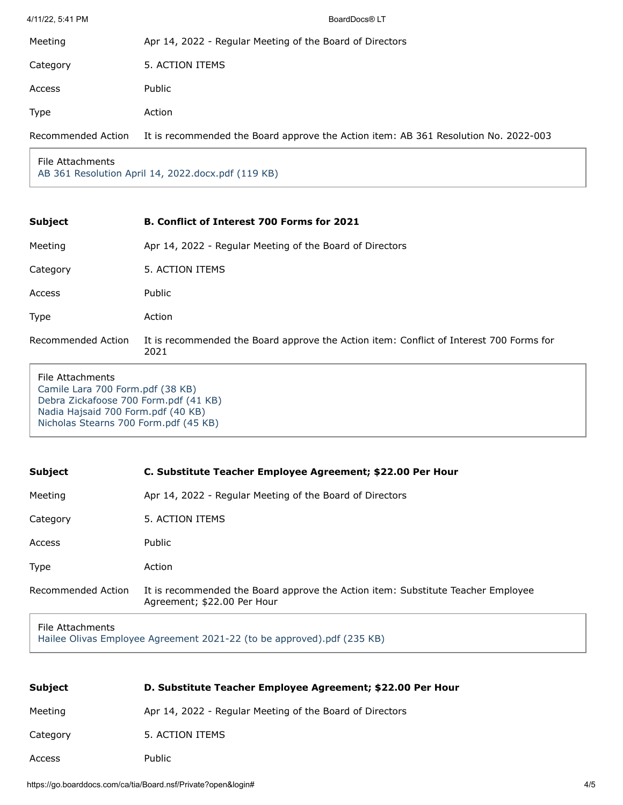| 4/11/22, 5:41 PM   | BoardDocs® LT                                                                       |
|--------------------|-------------------------------------------------------------------------------------|
| Meeting            | Apr 14, 2022 - Regular Meeting of the Board of Directors                            |
| Category           | 5. ACTION ITEMS                                                                     |
| Access             | Public                                                                              |
| <b>Type</b>        | Action                                                                              |
| Recommended Action | It is recommended the Board approve the Action item: AB 361 Resolution No. 2022-003 |
|                    |                                                                                     |

File Attachments [AB 361 Resolution April 14, 2022.docx.pdf \(119 KB\)](https://go.boarddocs.com/ca/tia/Board.nsf/files/CDDNG65FD1A5/$file/AB%20361%20Resolution%20April%2014%2C%202022.docx.pdf)

| <b>Subject</b>     | <b>B. Conflict of Interest 700 Forms for 2021</b>                                               |
|--------------------|-------------------------------------------------------------------------------------------------|
| Meeting            | Apr 14, 2022 - Regular Meeting of the Board of Directors                                        |
| Category           | 5. ACTION ITEMS                                                                                 |
| Access             | Public                                                                                          |
| Type               | Action                                                                                          |
| Recommended Action | It is recommended the Board approve the Action item: Conflict of Interest 700 Forms for<br>2021 |
|                    |                                                                                                 |

File Attachments [Camile Lara 700 Form.pdf \(38 KB\)](https://go.boarddocs.com/ca/tia/Board.nsf/files/CDDNDS5F765D/$file/Camile%20Lara%20700%20Form.pdf) [Debra Zickafoose 700 Form.pdf \(41 KB\)](https://go.boarddocs.com/ca/tia/Board.nsf/files/CDDNDU5F7667/$file/Debra%20Zickafoose%20700%20Form.pdf) [Nadia Hajsaid 700 Form.pdf \(40 KB\)](https://go.boarddocs.com/ca/tia/Board.nsf/files/CDDNDW5F7672/$file/Nadia%20Hajsaid%20700%20Form.pdf) [Nicholas Stearns 700 Form.pdf \(45 KB\)](https://go.boarddocs.com/ca/tia/Board.nsf/files/CDDNDY5F767D/$file/Nicholas%20Stearns%20700%20Form.pdf)

| <b>Subject</b>     | C. Substitute Teacher Employee Agreement; \$22.00 Per Hour                                                      |
|--------------------|-----------------------------------------------------------------------------------------------------------------|
| Meeting            | Apr 14, 2022 - Regular Meeting of the Board of Directors                                                        |
| Category           | 5. ACTION ITEMS                                                                                                 |
| Access             | Public                                                                                                          |
| <b>Type</b>        | Action                                                                                                          |
| Recommended Action | It is recommended the Board approve the Action item: Substitute Teacher Employee<br>Agreement; \$22.00 Per Hour |
|                    |                                                                                                                 |

#### File Attachments

[Hailee Olivas Employee Agreement 2021-22 \(to be approved\).pdf \(235 KB\)](https://go.boarddocs.com/ca/tia/Board.nsf/files/CDDNBX5F30CC/$file/Hailee%20Olivas%20Employee%20Agreement%202021-22%20(to%20be%20approved).pdf)

| Subject  | D. Substitute Teacher Employee Agreement; \$22.00 Per Hour |
|----------|------------------------------------------------------------|
| Meeting  | Apr 14, 2022 - Regular Meeting of the Board of Directors   |
| Category | 5. ACTION ITEMS                                            |
| Access   | <b>Public</b>                                              |